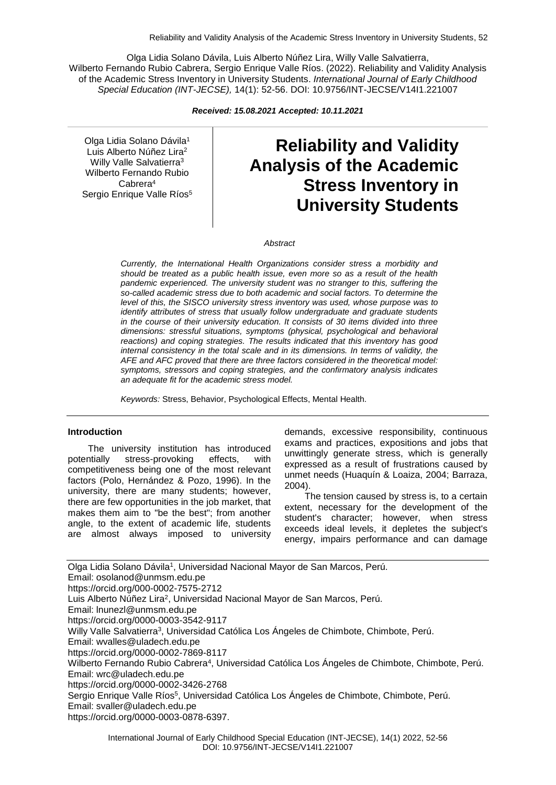Olga Lidia Solano Dávila, Luis Alberto Núñez Lira, Willy Valle Salvatierra, Wilberto Fernando Rubio Cabrera, Sergio Enrique Valle Ríos. (2022). Reliability and Validity Analysis of the Academic Stress Inventory in University Students. *International Journal of Early Childhood Special Education (INT-JECSE),* 14(1): 52-56. DOI: 10.9756/INT-JECSE/V14I1.221007

*Received: 15.08.2021 Accepted: 10.11.2021*

Olga Lidia Solano Dávila<sup>1</sup> Luis Alberto Núñez Lira<sup>2</sup> Willy Valle Salvatierra<sup>3</sup> Wilberto Fernando Rubio Cabrera<sup>4</sup> Sergio Enrique Valle Ríos<sup>5</sup>

# **Reliability and Validity Analysis of the Academic Stress Inventory in University Students**

*Abstract*

*Currently, the International Health Organizations consider stress a morbidity and should be treated as a public health issue, even more so as a result of the health pandemic experienced. The university student was no stranger to this, suffering the so-called academic stress due to both academic and social factors. To determine the level of this, the SISCO university stress inventory was used, whose purpose was to identify attributes of stress that usually follow undergraduate and graduate students in the course of their university education. It consists of 30 items divided into three dimensions: stressful situations, symptoms (physical, psychological and behavioral reactions) and coping strategies. The results indicated that this inventory has good internal consistency in the total scale and in its dimensions. In terms of validity, the AFE and AFC proved that there are three factors considered in the theoretical model: symptoms, stressors and coping strategies, and the confirmatory analysis indicates an adequate fit for the academic stress model.*

*Keywords:* Stress, Behavior, Psychological Effects, Mental Health.

#### **Introduction**

The university institution has introduced potentially stress-provoking effects, with competitiveness being one of the most relevant factors (Polo, Hernández & Pozo, 1996). In the university, there are many students; however, there are few opportunities in the job market, that makes them aim to "be the best"; from another angle, to the extent of academic life, students are almost always imposed to university

demands, excessive responsibility, continuous exams and practices, expositions and jobs that unwittingly generate stress, which is generally expressed as a result of frustrations caused by unmet needs (Huaquín & Loaiza, 2004; Barraza, 2004).

The tension caused by stress is, to a certain extent, necessary for the development of the student's character; however, when stress exceeds ideal levels, it depletes the subject's energy, impairs performance and can damage

Olga Lidia Solano Dávila<sup>1</sup>, Universidad Nacional Mayor de San Marcos, Perú. Email: osolanod@unmsm.edu.pe https://orcid.org/000-0002-7575-2712 Luis Alberto Núñez Lira<sup>2</sup>, Universidad Nacional Mayor de San Marcos, Perú. Email: lnunezl@unmsm.edu.pe https://orcid.org/0000-0003-3542-9117 Willy Valle Salvatierra<sup>3</sup>, Universidad Católica Los Ángeles de Chimbote, Chimbote, Perú. Email: wvalles@uladech.edu.pe https://orcid.org/0000-0002-7869-8117 Wilberto Fernando Rubio Cabrera<sup>4</sup> , Universidad Católica Los Ángeles de Chimbote, Chimbote, Perú. Email: wrc@uladech.edu.pe https://orcid.org/0000-0002-3426-2768 Sergio Enrique Valle Ríos<sup>5</sup>, Universidad Católica Los Ángeles de Chimbote, Chimbote, Perú. Email: svaller@uladech.edu.pe https://orcid.org/0000-0003-0878-6397.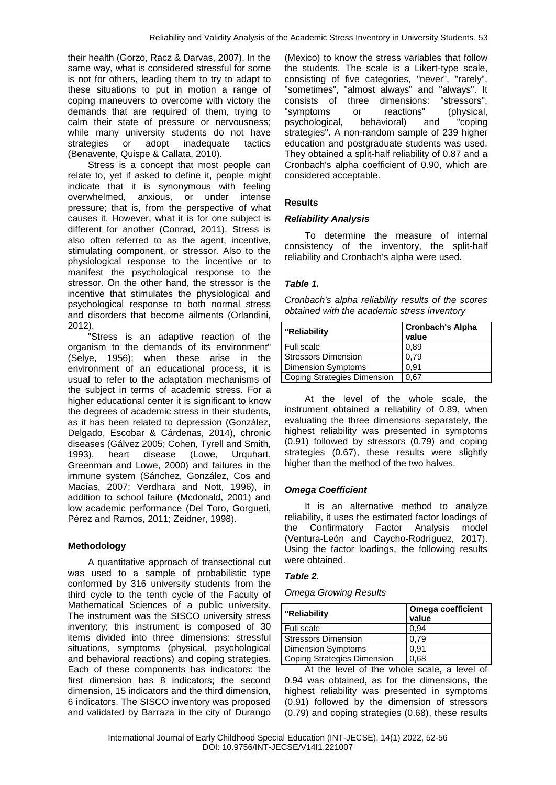their health (Gorzo, Racz & Darvas, 2007). In the same way, what is considered stressful for some is not for others, leading them to try to adapt to these situations to put in motion a range of coping maneuvers to overcome with victory the demands that are required of them, trying to calm their state of pressure or nervousness; while many university students do not have strategies or adopt inadequate tactics (Benavente, Quispe & Callata, 2010).

Stress is a concept that most people can relate to, yet if asked to define it, people might indicate that it is synonymous with feeling overwhelmed, anxious, or under intense pressure; that is, from the perspective of what causes it. However, what it is for one subject is different for another (Conrad, 2011). Stress is also often referred to as the agent, incentive, stimulating component, or stressor. Also to the physiological response to the incentive or to manifest the psychological response to the stressor. On the other hand, the stressor is the incentive that stimulates the physiological and psychological response to both normal stress and disorders that become ailments (Orlandini, 2012).

"Stress is an adaptive reaction of the organism to the demands of its environment" (Selye, 1956); when these arise in the environment of an educational process, it is usual to refer to the adaptation mechanisms of the subject in terms of academic stress. For a higher educational center it is significant to know the degrees of academic stress in their students, as it has been related to depression (González, Delgado, Escobar & Cárdenas, 2014), chronic diseases (Gálvez 2005; Cohen, Tyrell and Smith, 1993), heart disease (Lowe, Urquhart, Greenman and Lowe, 2000) and failures in the immune system (Sánchez, González, Cos and Macías, 2007; Verdhara and Nott, 1996), in addition to school failure (Mcdonald, 2001) and low academic performance (Del Toro, Gorgueti, Pérez and Ramos, 2011; Zeidner, 1998).

### **Methodology**

A quantitative approach of transectional cut was used to a sample of probabilistic type conformed by 316 university students from the third cycle to the tenth cycle of the Faculty of Mathematical Sciences of a public university. The instrument was the SISCO university stress inventory; this instrument is composed of 30 items divided into three dimensions: stressful situations, symptoms (physical, psychological and behavioral reactions) and coping strategies. Each of these components has indicators: the first dimension has 8 indicators; the second dimension, 15 indicators and the third dimension, 6 indicators. The SISCO inventory was proposed and validated by Barraza in the city of Durango

(Mexico) to know the stress variables that follow the students. The scale is a Likert-type scale, consisting of five categories, "never", "rarely", "sometimes", "almost always" and "always". It consists of three dimensions: "stressors", "symptoms or reactions" (physical, psychological, behavioral) and "coping strategies". A non-random sample of 239 higher education and postgraduate students was used. They obtained a split-half reliability of 0.87 and a Cronbach's alpha coefficient of 0.90, which are considered acceptable.

# **Results**

### *Reliability Analysis*

To determine the measure of internal consistency of the inventory, the split-half reliability and Cronbach's alpha were used.

### *Table 1.*

| Cronbach's alpha reliability results of the scores |
|----------------------------------------------------|
| obtained with the academic stress inventory        |

| "Reliability                | <b>Cronbach's Alpha</b><br>value |
|-----------------------------|----------------------------------|
| Full scale                  | 0.89                             |
| <b>Stressors Dimension</b>  | 0.79                             |
| <b>Dimension Symptoms</b>   | 0.91                             |
| Coping Strategies Dimension | 0.67                             |

At the level of the whole scale, the instrument obtained a reliability of 0.89, when evaluating the three dimensions separately, the highest reliability was presented in symptoms (0.91) followed by stressors (0.79) and coping strategies (0.67), these results were slightly higher than the method of the two halves.

### *Omega Coefficient*

It is an alternative method to analyze reliability, it uses the estimated factor loadings of the Confirmatory Factor Analysis model (Ventura-León and Caycho-Rodríguez, 2017). Using the factor loadings, the following results were obtained.

### *Table 2.*

#### *Omega Growing Results*

| Omega coefficient<br>value |
|----------------------------|
| 0.94                       |
| 0.79                       |
| 0.91                       |
| 0,68                       |
|                            |

At the level of the whole scale, a level of 0.94 was obtained, as for the dimensions, the highest reliability was presented in symptoms (0.91) followed by the dimension of stressors (0.79) and coping strategies (0.68), these results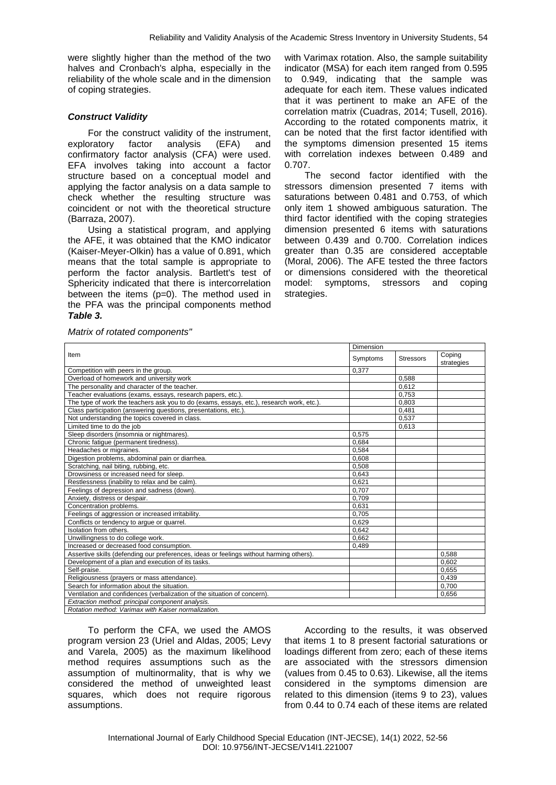were slightly higher than the method of the two halves and Cronbach's alpha, especially in the reliability of the whole scale and in the dimension of coping strategies.

## *Construct Validity*

For the construct validity of the instrument, exploratory factor analysis (EFA) and confirmatory factor analysis (CFA) were used. EFA involves taking into account a factor structure based on a conceptual model and applying the factor analysis on a data sample to check whether the resulting structure was coincident or not with the theoretical structure (Barraza, 2007).

Using a statistical program, and applying the AFE, it was obtained that the KMO indicator (Kaiser-Meyer-Olkin) has a value of 0.891, which means that the total sample is appropriate to perform the factor analysis. Bartlett's test of Sphericity indicated that there is intercorrelation between the items (p=0). The method used in the PFA was the principal components method *Table 3.*

with Varimax rotation. Also, the sample suitability indicator (MSA) for each item ranged from 0.595 to 0.949, indicating that the sample was adequate for each item. These values indicated that it was pertinent to make an AFE of the correlation matrix (Cuadras, 2014; Tusell, 2016). According to the rotated components matrix, it can be noted that the first factor identified with the symptoms dimension presented 15 items with correlation indexes between 0.489 and 0.707.

The second factor identified with the stressors dimension presented 7 items with saturations between 0.481 and 0.753, of which only item 1 showed ambiguous saturation. The third factor identified with the coping strategies dimension presented 6 items with saturations between 0.439 and 0.700. Correlation indices greater than 0.35 are considered acceptable (Moral, 2006). The AFE tested the three factors or dimensions considered with the theoretical model: symptoms, stressors and coping strategies.

| Item                                                                                     |       | Dimension        |                      |  |
|------------------------------------------------------------------------------------------|-------|------------------|----------------------|--|
|                                                                                          |       | <b>Stressors</b> | Coping<br>strategies |  |
| Competition with peers in the group.                                                     | 0,377 |                  |                      |  |
| Overload of homework and university work                                                 |       | 0.588            |                      |  |
| The personality and character of the teacher.                                            |       | 0.612            |                      |  |
| Teacher evaluations (exams, essays, research papers, etc.)                               |       | 0.753            |                      |  |
| The type of work the teachers ask you to do (exams, essays, etc.), research work, etc.). |       | 0,803            |                      |  |
| Class participation (answering questions, presentations, etc.).                          |       | 0,481            |                      |  |
| Not understanding the topics covered in class.                                           |       | 0.537            |                      |  |
| Limited time to do the job                                                               |       | 0.613            |                      |  |
| Sleep disorders (insomnia or nightmares).                                                | 0.575 |                  |                      |  |
| Chronic fatique (permanent tiredness).                                                   | 0,684 |                  |                      |  |
| Headaches or migraines.                                                                  | 0,584 |                  |                      |  |
| Digestion problems, abdominal pain or diarrhea.                                          | 0,608 |                  |                      |  |
| Scratching, nail biting, rubbing, etc.                                                   | 0.508 |                  |                      |  |
| Drowsiness or increased need for sleep.                                                  | 0,643 |                  |                      |  |
| Restlessness (inability to relax and be calm).                                           | 0,621 |                  |                      |  |
| Feelings of depression and sadness (down).                                               | 0.707 |                  |                      |  |
| Anxiety, distress or despair.                                                            | 0,709 |                  |                      |  |
| Concentration problems.                                                                  | 0.631 |                  |                      |  |
| Feelings of aggression or increased irritability.                                        | 0,705 |                  |                      |  |
| Conflicts or tendency to arque or quarrel.                                               | 0,629 |                  |                      |  |
| Isolation from others.                                                                   | 0.642 |                  |                      |  |
| Unwillingness to do college work.                                                        | 0,662 |                  |                      |  |
| Increased or decreased food consumption.                                                 | 0,489 |                  |                      |  |
| Assertive skills (defending our preferences, ideas or feelings without harming others).  |       |                  | 0,588                |  |
| Development of a plan and execution of its tasks.                                        |       |                  | 0.602                |  |
| Self-praise.                                                                             |       |                  | 0,655                |  |
| Religiousness (prayers or mass attendance).                                              |       |                  | 0,439                |  |
| Search for information about the situation.                                              |       |                  | 0.700                |  |
| Ventilation and confidences (verbalization of the situation of concern).                 |       |                  | 0.656                |  |
| Extraction method: principal component analysis.                                         |       |                  |                      |  |
| Rotation method: Varimax with Kaiser normalization.                                      |       |                  |                      |  |

To perform the CFA, we used the AMOS program version 23 (Uriel and Aldas, 2005; Levy and Varela, 2005) as the maximum likelihood method requires assumptions such as the assumption of multinormality, that is why we considered the method of unweighted least squares, which does not require rigorous assumptions.

According to the results, it was observed that items 1 to 8 present factorial saturations or loadings different from zero; each of these items are associated with the stressors dimension (values from 0.45 to 0.63). Likewise, all the items considered in the symptoms dimension are related to this dimension (items 9 to 23), values from 0.44 to 0.74 each of these items are related

*Matrix of rotated components"*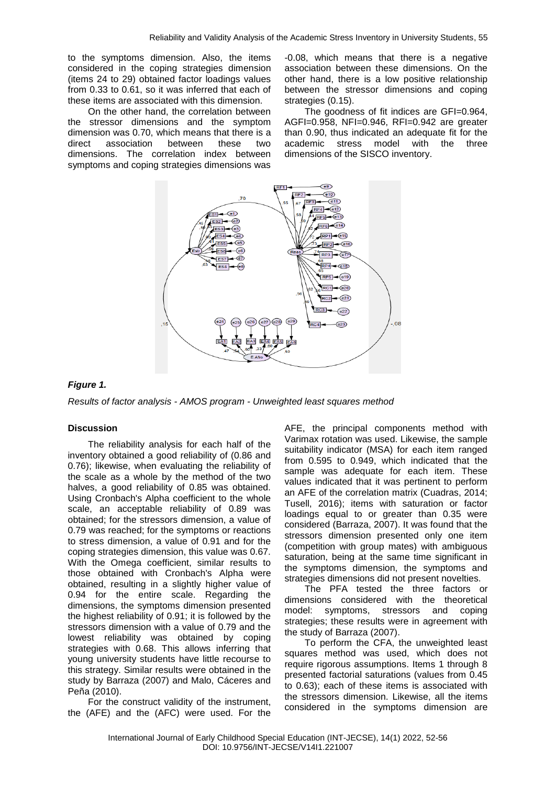to the symptoms dimension. Also, the items considered in the coping strategies dimension (items 24 to 29) obtained factor loadings values from 0.33 to 0.61, so it was inferred that each of these items are associated with this dimension.

On the other hand, the correlation between the stressor dimensions and the symptom dimension was 0.70, which means that there is a direct association between these two dimensions. The correlation index between symptoms and coping strategies dimensions was

-0.08, which means that there is a negative association between these dimensions. On the other hand, there is a low positive relationship between the stressor dimensions and coping strategies (0.15).

The goodness of fit indices are GFI=0.964, AGFI=0.958, NFI=0.946, RFI=0.942 are greater than 0.90, thus indicated an adequate fit for the academic stress model with the three dimensions of the SISCO inventory.



# *Figure 1.*

*Results of factor analysis - AMOS program - Unweighted least squares method*

### **Discussion**

The reliability analysis for each half of the inventory obtained a good reliability of (0.86 and 0.76); likewise, when evaluating the reliability of the scale as a whole by the method of the two halves, a good reliability of 0.85 was obtained. Using Cronbach's Alpha coefficient to the whole scale, an acceptable reliability of 0.89 was obtained; for the stressors dimension, a value of 0.79 was reached; for the symptoms or reactions to stress dimension, a value of 0.91 and for the coping strategies dimension, this value was 0.67. With the Omega coefficient, similar results to those obtained with Cronbach's Alpha were obtained, resulting in a slightly higher value of 0.94 for the entire scale. Regarding the dimensions, the symptoms dimension presented the highest reliability of 0.91; it is followed by the stressors dimension with a value of 0.79 and the lowest reliability was obtained by coping strategies with 0.68. This allows inferring that young university students have little recourse to this strategy. Similar results were obtained in the study by Barraza (2007) and Malo, Cáceres and Peña (2010).

For the construct validity of the instrument, the (AFE) and the (AFC) were used. For the AFE, the principal components method with Varimax rotation was used. Likewise, the sample suitability indicator (MSA) for each item ranged from 0.595 to 0.949, which indicated that the sample was adequate for each item. These values indicated that it was pertinent to perform an AFE of the correlation matrix (Cuadras, 2014; Tusell, 2016); items with saturation or factor loadings equal to or greater than 0.35 were considered (Barraza, 2007). It was found that the stressors dimension presented only one item (competition with group mates) with ambiguous saturation, being at the same time significant in the symptoms dimension, the symptoms and strategies dimensions did not present novelties.

The PFA tested the three factors or dimensions considered with the theoretical model: symptoms, stressors and coping strategies; these results were in agreement with the study of Barraza (2007).

To perform the CFA, the unweighted least squares method was used, which does not require rigorous assumptions. Items 1 through 8 presented factorial saturations (values from 0.45 to 0.63); each of these items is associated with the stressors dimension. Likewise, all the items considered in the symptoms dimension are